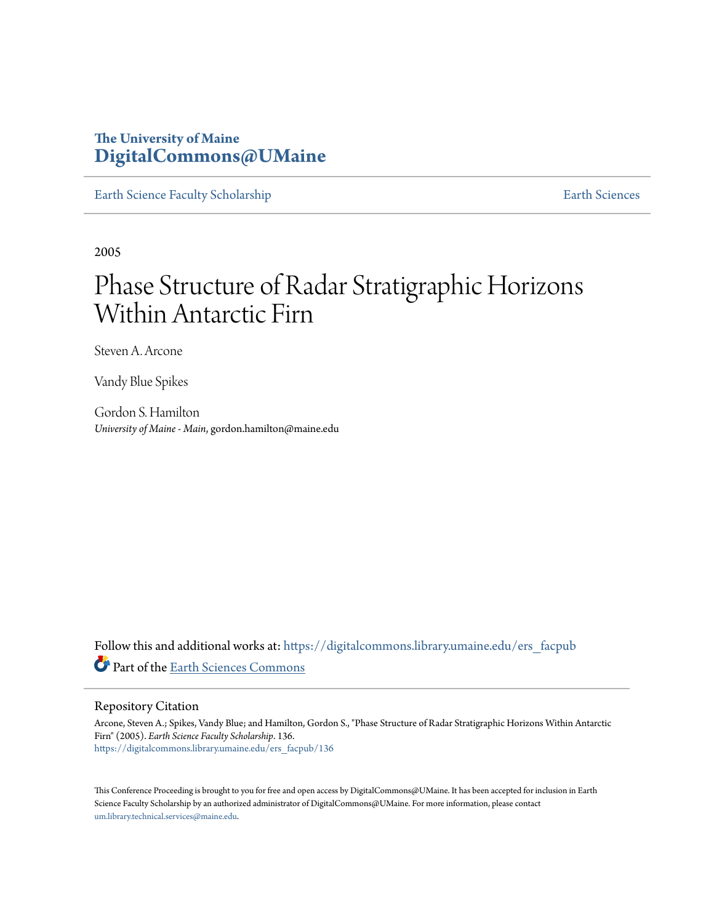# **The University of Maine [DigitalCommons@UMaine](https://digitalcommons.library.umaine.edu?utm_source=digitalcommons.library.umaine.edu%2Fers_facpub%2F136&utm_medium=PDF&utm_campaign=PDFCoverPages)**

[Earth Science Faculty Scholarship](https://digitalcommons.library.umaine.edu/ers_facpub?utm_source=digitalcommons.library.umaine.edu%2Fers_facpub%2F136&utm_medium=PDF&utm_campaign=PDFCoverPages) **[Earth Sciences](https://digitalcommons.library.umaine.edu/ers?utm_source=digitalcommons.library.umaine.edu%2Fers_facpub%2F136&utm_medium=PDF&utm_campaign=PDFCoverPages)** 

2005

# Phase Structure of Radar Stratigraphic Horizons Within Antarctic Firn

Steven A. Arcone

Vandy Blue Spikes

Gordon S. Hamilton *University of Maine - Main*, gordon.hamilton@maine.edu

Follow this and additional works at: [https://digitalcommons.library.umaine.edu/ers\\_facpub](https://digitalcommons.library.umaine.edu/ers_facpub?utm_source=digitalcommons.library.umaine.edu%2Fers_facpub%2F136&utm_medium=PDF&utm_campaign=PDFCoverPages) Part of the [Earth Sciences Commons](http://network.bepress.com/hgg/discipline/153?utm_source=digitalcommons.library.umaine.edu%2Fers_facpub%2F136&utm_medium=PDF&utm_campaign=PDFCoverPages)

Repository Citation

Arcone, Steven A.; Spikes, Vandy Blue; and Hamilton, Gordon S., "Phase Structure of Radar Stratigraphic Horizons Within Antarctic Firn" (2005). *Earth Science Faculty Scholarship*. 136. [https://digitalcommons.library.umaine.edu/ers\\_facpub/136](https://digitalcommons.library.umaine.edu/ers_facpub/136?utm_source=digitalcommons.library.umaine.edu%2Fers_facpub%2F136&utm_medium=PDF&utm_campaign=PDFCoverPages)

This Conference Proceeding is brought to you for free and open access by DigitalCommons@UMaine. It has been accepted for inclusion in Earth Science Faculty Scholarship by an authorized administrator of DigitalCommons@UMaine. For more information, please contact [um.library.technical.services@maine.edu](mailto:um.library.technical.services@maine.edu).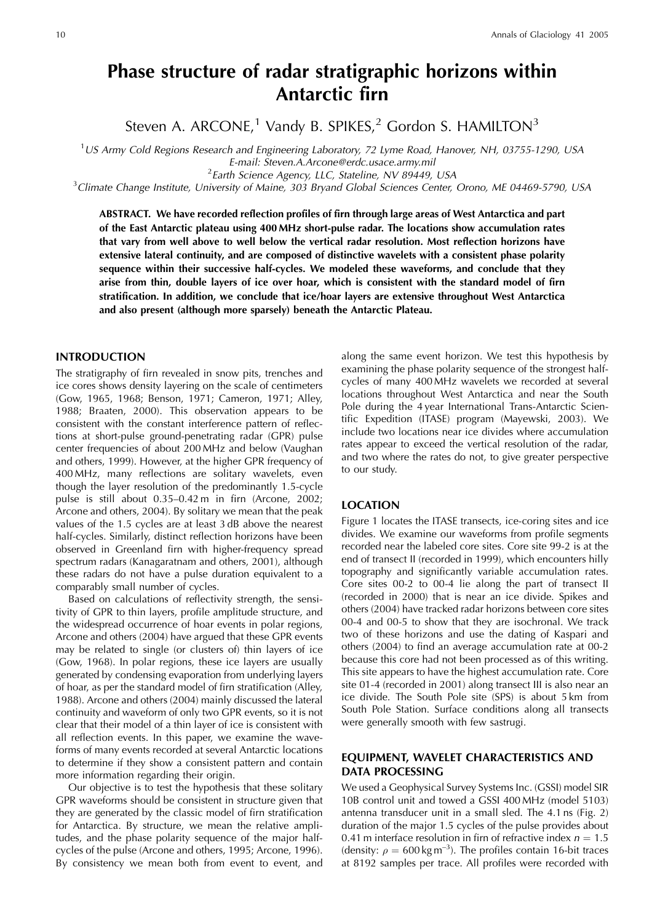# Phase structure of radar stratigraphic horizons within Antarctic firn

Steven A. ARCONE,<sup>1</sup> Vandy B. SPIKES,<sup>2</sup> Gordon S. HAMILTON<sup>3</sup>

<sup>1</sup>US Army Cold Regions Research and Engineering Laboratory, 72 Lyme Road, Hanover, NH, 03755-1290, USA E-mail: Steven.A.Arcone@erdc.usace.army.mil

<sup>2</sup> Earth Science Agency, LLC, Stateline, NV 89449, USA

<sup>3</sup>Climate Change Institute, University of Maine, 303 Bryand Global Sciences Center, Orono, ME 04469-5790, USA

ABSTRACT. We have recorded reflection profiles of firn through large areas of West Antarctica and part of the East Antarctic plateau using 400 MHz short-pulse radar. The locations show accumulation rates that vary from well above to well below the vertical radar resolution. Most reflection horizons have extensive lateral continuity, and are composed of distinctive wavelets with a consistent phase polarity sequence within their successive half-cycles. We modeled these waveforms, and conclude that they arise from thin, double layers of ice over hoar, which is consistent with the standard model of firn stratification. In addition, we conclude that ice/hoar layers are extensive throughout West Antarctica and also present (although more sparsely) beneath the Antarctic Plateau.

# **INTRODUCTION**

The stratigraphy of firn revealed in snow pits, trenches and ice cores shows density layering on the scale of centimeters (Gow, 1965, 1968; Benson, 1971; Cameron, 1971; Alley, 1988; Braaten, 2000). This observation appears to be consistent with the constant interference pattern of reflections at short-pulse ground-penetrating radar (GPR) pulse center frequencies of about 200 MHz and below (Vaughan and others, 1999). However, at the higher GPR frequency of 400 MHz, many reflections are solitary wavelets, even though the layer resolution of the predominantly 1.5-cycle pulse is still about 0.35-0.42 m in firn (Arcone, 2002; Arcone and others, 2004). By solitary we mean that the peak values of the 1.5 cycles are at least 3 dB above the nearest half-cycles. Similarly, distinct reflection horizons have been observed in Greenland firn with higher-frequency spread spectrum radars (Kanagaratnam and others, 2001), although these radars do not have a pulse duration equivalent to a comparably small number of cycles.

Based on calculations of reflectivity strength, the sensitivity of GPR to thin layers, profile amplitude structure, and the widespread occurrence of hoar events in polar regions, Arcone and others (2004) have argued that these GPR events may be related to single (or clusters of) thin layers of ice (Gow, 1968). In polar regions, these ice layers are usually generated by condensing evaporation from underlying layers of hoar, as per the standard model of firn stratification (Alley, 1988). Arcone and others (2004) mainly discussed the lateral continuity and waveform of only two GPR events, so it is not clear that their model of a thin layer of ice is consistent with all reflection events. In this paper, we examine the waveforms of many events recorded at several Antarctic locations to determine if they show a consistent pattern and contain more information regarding their origin.

Our objective is to test the hypothesis that these solitary GPR waveforms should be consistent in structure given that they are generated by the classic model of firn stratification for Antarctica. By structure, we mean the relative amplitudes, and the phase polarity sequence of the major halfcycles of the pulse (Arcone and others, 1995; Arcone, 1996). By consistency we mean both from event to event, and along the same event horizon. We test this hypothesis by examining the phase polarity sequence of the strongest halfcycles of many 400 MHz wavelets we recorded at several locations throughout West Antarctica and near the South Pole during the 4 year International Trans-Antarctic Scientific Expedition (ITASE) program (Mayewski, 2003). We include two locations near ice divides where accumulation rates appear to exceed the vertical resolution of the radar, and two where the rates do not, to give greater perspective to our study.

#### **LOCATION**

Figure 1 locates the ITASE transects, ice-coring sites and ice divides. We examine our waveforms from profile segments recorded near the labeled core sites. Core site 99-2 is at the end of transect II (recorded in 1999), which encounters hilly topography and significantly variable accumulation rates. Core sites 00-2 to 00-4 lie along the part of transect II (recorded in 2000) that is near an ice divide. Spikes and others (2004) have tracked radar horizons between core sites 00-4 and 00-5 to show that they are isochronal. We track two of these horizons and use the dating of Kaspari and others (2004) to find an average accumulation rate at 00-2 because this core had not been processed as of this writing. This site appears to have the highest accumulation rate. Core site 01-4 (recorded in 2001) along transect III is also near an ice divide. The South Pole site (SPS) is about 5 km from South Pole Station. Surface conditions along all transects were generally smooth with few sastrugi.

# EQUIPMENT, WAVELET CHARACTERISTICS AND **DATA PROCESSING**

We used a Geophysical Survey Systems Inc. (GSSI) model SIR 10B control unit and towed a GSSI 400 MHz (model 5103) antenna transducer unit in a small sled. The 4.1 ns (Fig. 2) duration of the major 1.5 cycles of the pulse provides about 0.41 m interface resolution in firn of refractive index  $n = 1.5$ (density:  $\rho = 600 \text{ kg m}^{-3}$ ). The profiles contain 16-bit traces at 8192 samples per trace. All profiles were recorded with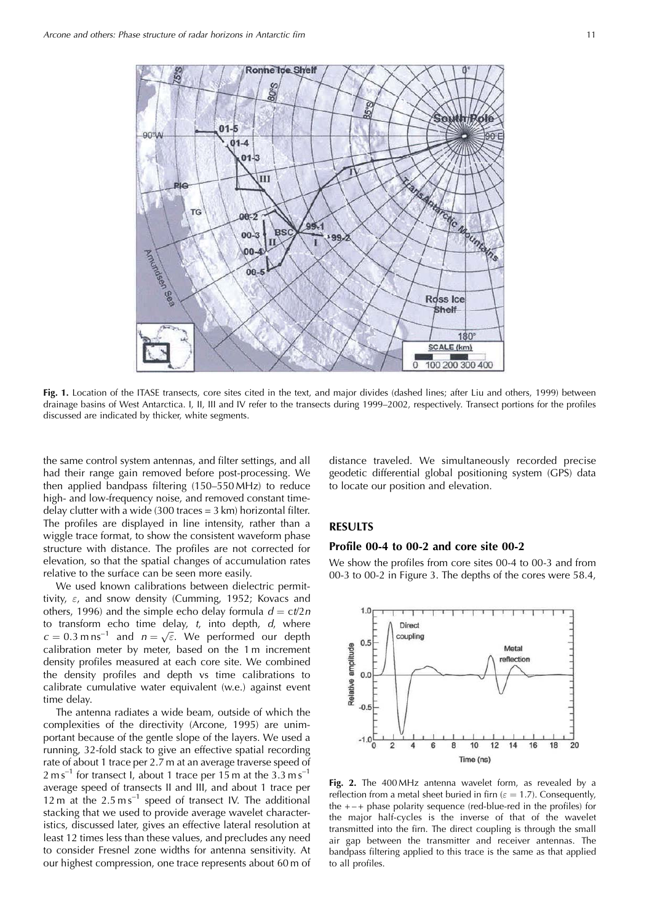

Fig. 1. Location of the ITASE transects, core sites cited in the text, and major divides (dashed lines; after Liu and others, 1999) between drainage basins of West Antarctica. I, II, III and IV refer to the transects during 1999-2002, respectively. Transect portions for the profiles discussed are indicated by thicker, white segments.

the same control system antennas, and filter settings, and all had their range gain removed before post-processing. We then applied bandpass filtering (150-550 MHz) to reduce high- and low-frequency noise, and removed constant timedelay clutter with a wide  $(300 \text{ traces} = 3 \text{ km})$  horizontal filter. The profiles are displayed in line intensity, rather than a wiggle trace format, to show the consistent waveform phase structure with distance. The profiles are not corrected for elevation, so that the spatial changes of accumulation rates relative to the surface can be seen more easily.

We used known calibrations between dielectric permittivity,  $\varepsilon$ , and snow density (Cumming, 1952; Kovacs and others, 1996) and the simple echo delay formula  $d = ct/2n$ to transform echo time delay,  $t$ , into depth,  $d$ , where  $c = 0.3$  m ns<sup>-1</sup> and  $n = \sqrt{\varepsilon}$ . We performed our depth calibration meter by meter, based on the 1 m increment density profiles measured at each core site. We combined the density profiles and depth vs time calibrations to calibrate cumulative water equivalent (w.e.) against event time delay.

The antenna radiates a wide beam, outside of which the complexities of the directivity (Arcone, 1995) are unimportant because of the gentle slope of the layers. We used a running, 32-fold stack to give an effective spatial recording rate of about 1 trace per 2.7 m at an average traverse speed of  $2 \text{ m s}^{-1}$  for transect I, about 1 trace per 15 m at the 3.3 m s<sup>-1</sup> average speed of transects II and III, and about 1 trace per 12 m at the  $2.5 \text{ m s}^{-1}$  speed of transect IV. The additional stacking that we used to provide average wavelet characteristics, discussed later, gives an effective lateral resolution at least 12 times less than these values, and precludes any need to consider Fresnel zone widths for antenna sensitivity. At our highest compression, one trace represents about 60 m of distance traveled. We simultaneously recorded precise geodetic differential global positioning system (GPS) data to locate our position and elevation.

#### **RESULTS**

#### Profile 00-4 to 00-2 and core site 00-2

We show the profiles from core sites 00-4 to 00-3 and from 00-3 to 00-2 in Figure 3. The depths of the cores were 58.4,



Fig. 2. The 400 MHz antenna wavelet form, as revealed by a reflection from a metal sheet buried in firm ( $\varepsilon = 1.7$ ). Consequently, the  $+-+$  phase polarity sequence (red-blue-red in the profiles) for the major half-cycles is the inverse of that of the wavelet transmitted into the firn. The direct coupling is through the small air gap between the transmitter and receiver antennas. The bandpass filtering applied to this trace is the same as that applied to all profiles.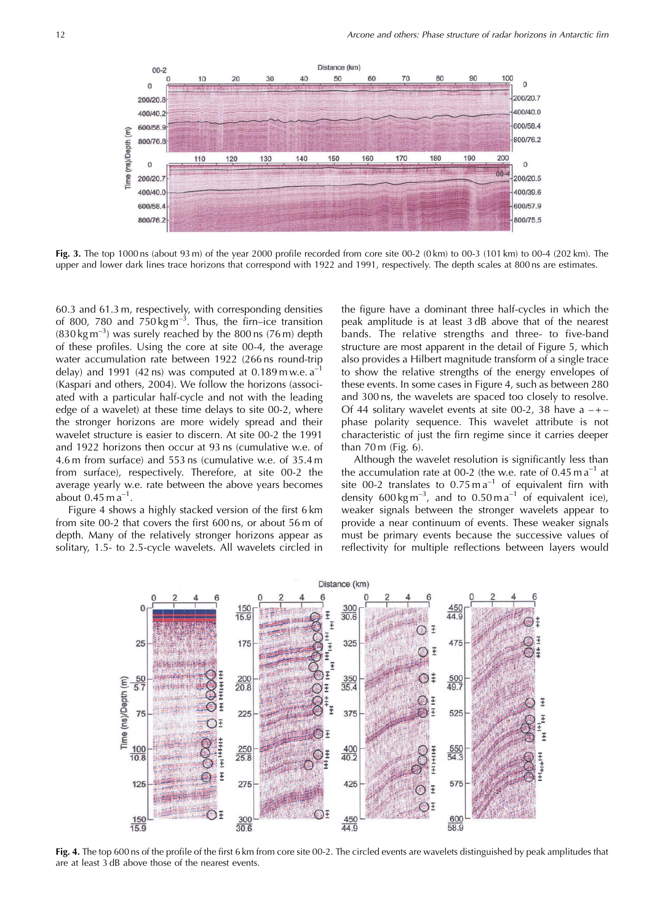

Fig. 3. The top 1000 ns (about 93 m) of the year 2000 profile recorded from core site 00-2 (0 km) to 00-3 (101 km) to 00-4 (202 km). The upper and lower dark lines trace horizons that correspond with 1922 and 1991, respectively. The depth scales at 800 ns are estimates.

60.3 and 61.3 m, respectively, with corresponding densities of 800, 780 and 750 kg  $\text{m}^{-3}$ . Thus, the firn-ice transition  $(830 \text{ kg m}^{-3})$  was surely reached by the 800 ns (76 m) depth of these profiles. Using the core at site 00-4, the average water accumulation rate between 1922 (266 ns round-trip delay) and 1991 (42 ns) was computed at 0.189 m w.e.  $a^{-1}$ (Kaspari and others, 2004). We follow the horizons (associated with a particular half-cycle and not with the leading edge of a wavelet) at these time delays to site 00-2, where the stronger horizons are more widely spread and their wavelet structure is easier to discern. At site 00-2 the 1991 and 1922 horizons then occur at 93 ns (cumulative w.e. of 4.6 m from surface) and 553 ns (cumulative w.e. of 35.4 m from surface), respectively. Therefore, at site 00-2 the average yearly w.e. rate between the above years becomes about  $0.45$  m a<sup>-1</sup>.

Figure 4 shows a highly stacked version of the first 6 km from site 00-2 that covers the first 600 ns, or about 56 m of depth. Many of the relatively stronger horizons appear as solitary, 1.5- to 2.5-cycle wavelets. All wavelets circled in the figure have a dominant three half-cycles in which the peak amplitude is at least 3 dB above that of the nearest bands. The relative strengths and three- to five-band structure are most apparent in the detail of Figure 5, which also provides a Hilbert magnitude transform of a single trace to show the relative strengths of the energy envelopes of these events. In some cases in Figure 4, such as between 280 and 300 ns, the wavelets are spaced too closely to resolve. Of 44 solitary wavelet events at site 00-2, 38 have a  $-+$ phase polarity sequence. This wavelet attribute is not characteristic of just the firn regime since it carries deeper than  $70 \text{ m}$  (Fig. 6).

Although the wavelet resolution is significantly less than the accumulation rate at 00-2 (the w.e. rate of  $0.45 \text{ m a}^{-1}$  at site 00-2 translates to  $0.75 \text{ m a}^{-1}$  of equivalent firn with density  $600 \text{ kg m}^{-3}$ , and to  $0.50 \text{ m a}^{-1}$  of equivalent ice), weaker signals between the stronger wavelets appear to provide a near continuum of events. These weaker signals must be primary events because the successive values of reflectivity for multiple reflections between layers would



Fig. 4. The top 600 ns of the profile of the first 6 km from core site 00-2. The circled events are wavelets distinguished by peak amplitudes that are at least 3 dB above those of the nearest events.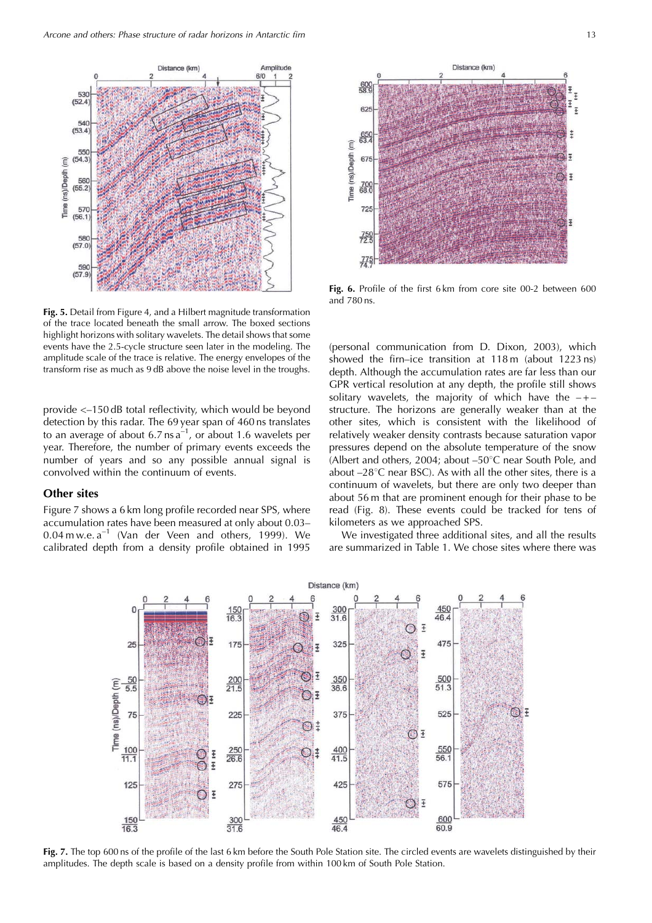

Fig. 5. Detail from Figure 4, and a Hilbert magnitude transformation of the trace located beneath the small arrow. The boxed sections highlight horizons with solitary wavelets. The detail shows that some events have the 2.5-cycle structure seen later in the modeling. The amplitude scale of the trace is relative. The energy envelopes of the transform rise as much as 9 dB above the noise level in the troughs.

provide <-150 dB total reflectivity, which would be beyond detection by this radar. The 69 year span of 460 ns translates to an average of about 6.7 ns  $a^{-1}$ , or about 1.6 wavelets per year. Therefore, the number of primary events exceeds the number of years and so any possible annual signal is convolved within the continuum of events.

#### **Other sites**

Figure 7 shows a 6 km long profile recorded near SPS, where accumulation rates have been measured at only about 0.03- $0.04$  m w.e.  $a^{-1}$  (Van der Veen and others, 1999). We calibrated depth from a density profile obtained in 1995



Fig. 6. Profile of the first 6 km from core site 00-2 between 600 and 780 ns.

(personal communication from D. Dixon, 2003), which showed the firn-ice transition at 118m (about 1223 ns) depth. Although the accumulation rates are far less than our GPR vertical resolution at any depth, the profile still shows solitary wavelets, the majority of which have the  $-+$ structure. The horizons are generally weaker than at the other sites, which is consistent with the likelihood of relatively weaker density contrasts because saturation vapor pressures depend on the absolute temperature of the snow (Albert and others, 2004; about -50°C near South Pole, and about  $-28^{\circ}$ C near BSC). As with all the other sites, there is a continuum of wavelets, but there are only two deeper than about 56 m that are prominent enough for their phase to be read (Fig. 8). These events could be tracked for tens of kilometers as we approached SPS.

We investigated three additional sites, and all the results are summarized in Table 1. We chose sites where there was



Fig. 7. The top 600 ns of the profile of the last 6 km before the South Pole Station site. The circled events are wavelets distinguished by their amplitudes. The depth scale is based on a density profile from within 100 km of South Pole Station.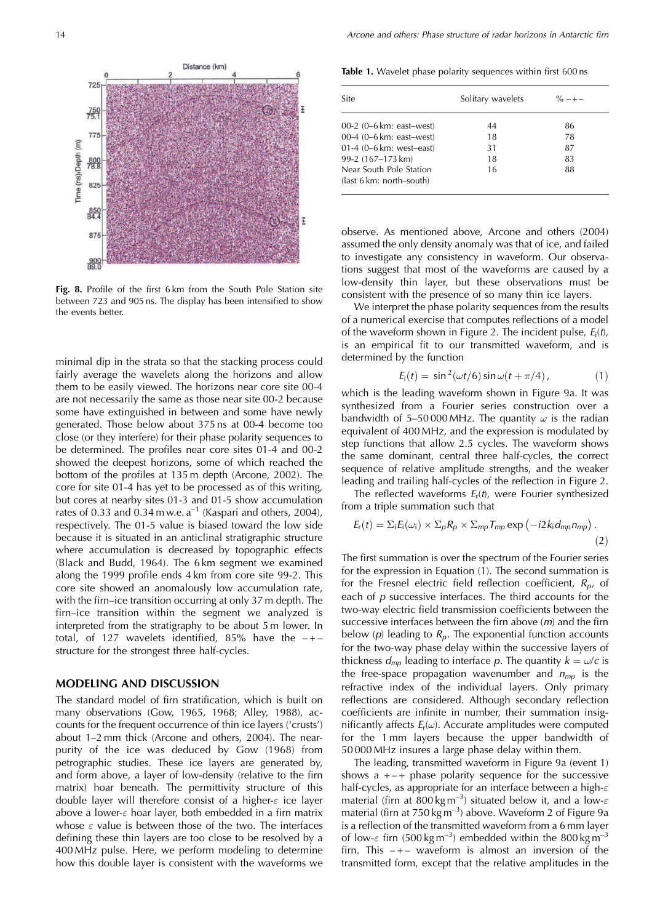

Fig. 8. Profile of the first 6 km from the South Pole Station site between 723 and 905 ns. The display has been intensified to show the events better.

minimal dip in the strata so that the stacking process could fairly average the wavelets along the horizons and allow them to be easily viewed. The horizons near core site 00-4 are not necessarily the same as those near site 00-2 because some have extinguished in between and some have newly generated. Those below about 375 ns at 00-4 become too close (or they interfere) for their phase polarity sequences to be determined. The profiles near core sites 01-4 and 00-2 showed the deepest horizons, some of which reached the bottom of the profiles at 135 m depth (Arcone, 2002). The core for site 01-4 has yet to be processed as of this writing, but cores at nearby sites 01-3 and 01-5 show accumulation rates of 0.33 and  $0.34$  m w.e.  $a^{-1}$  (Kaspari and others, 2004), respectively. The 01-5 value is biased toward the low side because it is situated in an anticlinal stratigraphic structure where accumulation is decreased by topographic effects (Black and Budd, 1964). The 6km segment we examined along the 1999 profile ends 4 km from core site 99-2. This core site showed an anomalously low accumulation rate, with the firn-ice transition occurring at only 37 m depth. The firn-ice transition within the segment we analyzed is interpreted from the stratigraphy to be about 5 m lower. In total, of 127 wavelets identified, 85% have the  $-+$ structure for the strongest three half-cycles.

### **MODELING AND DISCUSSION**

The standard model of firn stratification, which is built on many observations (Gow, 1965, 1968; Alley, 1988), accounts for the frequent occurrence of thin ice layers ('crusts') about 1–2 mm thick (Arcone and others, 2004). The nearpurity of the ice was deduced by Gow (1968) from petrographic studies. These ice layers are generated by, and form above, a layer of low-density (relative to the firn matrix) hoar beneath. The permittivity structure of this double layer will therefore consist of a higher- $\varepsilon$  ice layer above a lower- $\varepsilon$  hoar layer, both embedded in a firn matrix whose  $\varepsilon$  value is between those of the two. The interfaces defining these thin layers are too close to be resolved by a 400 MHz pulse. Here, we perform modeling to determine how this double layer is consistent with the waveforms we

Table 1. Wavelet phase polarity sequences within first 600 ns

| Site                                                | Solitary wavelets | $\% - + -$ |
|-----------------------------------------------------|-------------------|------------|
| 00-2 $(0-6 \text{ km})$ east-west                   | 44                | 86         |
| 00-4 (0-6 km: east-west)                            | 18                | 78         |
| 01-4 $(0-6 \text{ km})$ : west-east)                | 31                | 87         |
| 99-2 (167-173 km)                                   | 18                | 83         |
| Near South Pole Station<br>(last 6 km: north-south) | 16                | 88         |

observe. As mentioned above, Arcone and others (2004) assumed the only density anomaly was that of ice, and failed to investigate any consistency in waveform. Our observations suggest that most of the waveforms are caused by a low-density thin layer, but these observations must be consistent with the presence of so many thin ice layers.

We interpret the phase polarity sequences from the results of a numerical exercise that computes reflections of a model of the waveform shown in Figure 2. The incident pulse,  $E_i(t)$ , is an empirical fit to our transmitted waveform, and is determined by the function

$$
E_i(t) = \sin^2(\omega t/6) \sin \omega (t + \pi/4), \qquad (1)
$$

which is the leading waveform shown in Figure 9a. It was synthesized from a Fourier series construction over a bandwidth of 5-50 000 MHz. The quantity  $\omega$  is the radian equivalent of 400 MHz, and the expression is modulated by step functions that allow 2.5 cycles. The waveform shows the same dominant, central three half-cycles, the correct sequence of relative amplitude strengths, and the weaker leading and trailing half-cycles of the reflection in Figure 2.

The reflected waveforms  $E_r(t)$ , were Fourier synthesized from a triple summation such that

$$
E_{r}(t) = \sum_{i} E_{i}(\omega_{i}) \times \sum_{p} R_{p} \times \sum_{mp} T_{mp} \exp(-i2k_{i}d_{mp}n_{mp}).
$$
\n(2)

The first summation is over the spectrum of the Fourier series for the expression in Equation (1). The second summation is for the Fresnel electric field reflection coefficient,  $R_p$ , of each of  $p$  successive interfaces. The third accounts for the two-way electric field transmission coefficients between the successive interfaces between the firn above  $(m)$  and the firn below  $(p)$  leading to  $R_p$ . The exponential function accounts for the two-way phase delay within the successive layers of thickness  $d_{mp}$  leading to interface p. The quantity  $k = \omega/c$  is the free-space propagation wavenumber and  $n_{mp}$  is the refractive index of the individual layers. Only primary reflections are considered. Although secondary reflection coefficients are infinite in number, their summation insignificantly affects  $E_r(\omega)$ . Accurate amplitudes were computed for the 1 mm layers because the upper bandwidth of 50 000 MHz insures a large phase delay within them.

The leading, transmitted waveform in Figure 9a (event 1) shows  $a + - +$  phase polarity sequence for the successive half-cycles, as appropriate for an interface between a high- $\varepsilon$ material (firn at 800 kg m<sup>-3</sup>) situated below it, and a low- $\varepsilon$ material (firn at 750 kg m<sup>-3</sup>) above. Waveform 2 of Figure 9a is a reflection of the transmitted waveform from a 6 mm layer of low- $\varepsilon$  firn (500 kg m<sup>-3</sup>) embedded within the 800 kg m<sup>-3</sup> firn. This  $-+-$  waveform is almost an inversion of the transmitted form, except that the relative amplitudes in the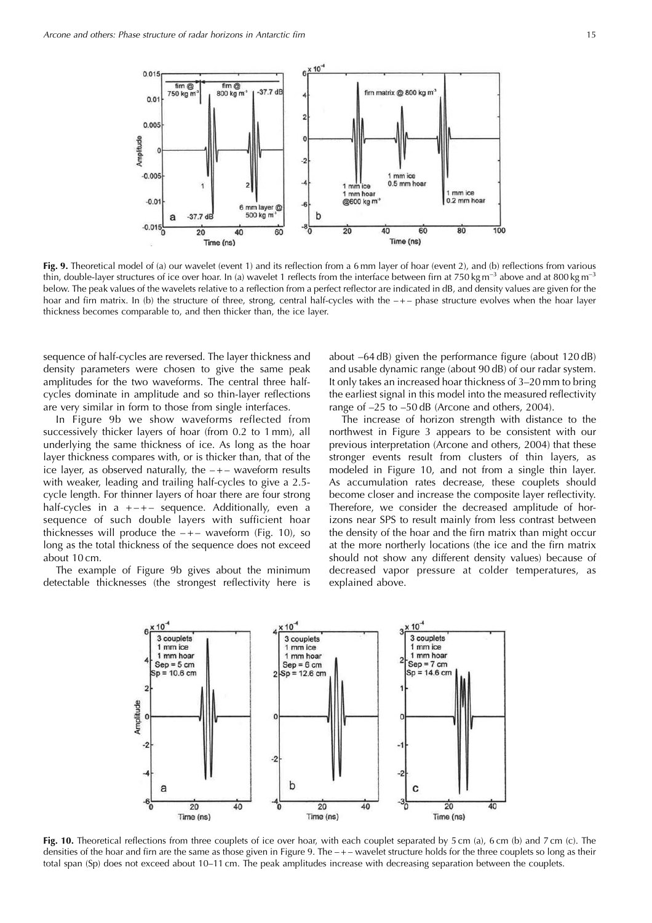

Fig. 9. Theoretical model of (a) our wavelet (event 1) and its reflection from a 6 mm layer of hoar (event 2), and (b) reflections from various thin, double-layer structures of ice over hoar. In (a) wavelet 1 reflects from the interface between firn at 750 kg m<sup>-3</sup> above and at 800 kg m<sup>-3</sup> below. The peak values of the wavelets relative to a reflection from a perfect reflector are indicated in dB, and density values are given for the hoar and firn matrix. In (b) the structure of three, strong, central half-cycles with the  $-+-$  phase structure evolves when the hoar layer thickness becomes comparable to, and then thicker than, the ice layer.

sequence of half-cycles are reversed. The layer thickness and density parameters were chosen to give the same peak amplitudes for the two waveforms. The central three halfcycles dominate in amplitude and so thin-layer reflections are very similar in form to those from single interfaces.

In Figure 9b we show waveforms reflected from successively thicker layers of hoar (from 0.2 to 1 mm), all underlying the same thickness of ice. As long as the hoar layer thickness compares with, or is thicker than, that of the ice layer, as observed naturally, the  $-+-$  waveform results with weaker, leading and trailing half-cycles to give a 2.5cycle length. For thinner layers of hoar there are four strong half-cycles in a  $+ - + -$  sequence. Additionally, even a sequence of such double layers with sufficient hoar thicknesses will produce the  $-+-$  waveform (Fig. 10), so long as the total thickness of the sequence does not exceed about 10 cm.

The example of Figure 9b gives about the minimum detectable thicknesses (the strongest reflectivity here is about -64 dB) given the performance figure (about 120 dB) and usable dynamic range (about 90 dB) of our radar system. It only takes an increased hoar thickness of 3–20 mm to bring the earliest signal in this model into the measured reflectivity range of -25 to -50 dB (Arcone and others, 2004).

The increase of horizon strength with distance to the northwest in Figure 3 appears to be consistent with our previous interpretation (Arcone and others, 2004) that these stronger events result from clusters of thin layers, as modeled in Figure 10, and not from a single thin layer. As accumulation rates decrease, these couplets should become closer and increase the composite layer reflectivity. Therefore, we consider the decreased amplitude of horizons near SPS to result mainly from less contrast between the density of the hoar and the firn matrix than might occur at the more northerly locations (the ice and the firn matrix should not show any different density values) because of decreased vapor pressure at colder temperatures, as explained above.



Fig. 10. Theoretical reflections from three couplets of ice over hoar, with each couplet separated by 5 cm (a), 6 cm (b) and 7 cm (c). The densities of the hoar and firn are the same as those given in Figure 9. The  $-$  +  $-$  wavelet structure holds for the three couplets so long as their total span (Sp) does not exceed about 10–11 cm. The peak amplitudes increase with decreasing separation between the couplets.